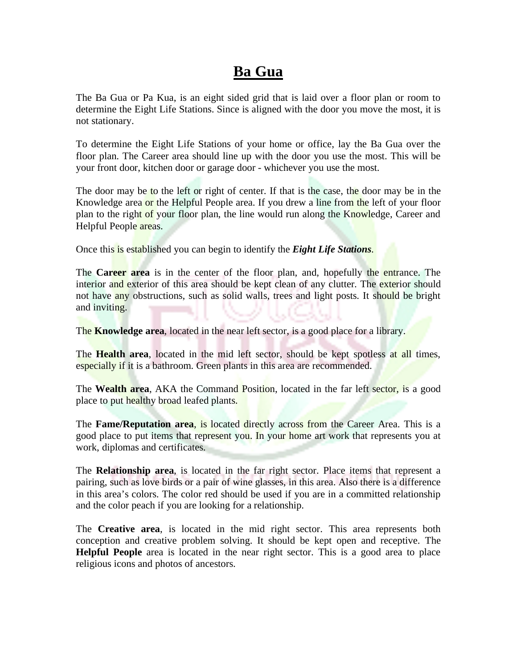## **Ba Gua**

The Ba Gua or Pa Kua, is an eight sided grid that is laid over a floor plan or room to determine the Eight Life Stations. Since is aligned with the door you move the most, it is not stationary.

To determine the Eight Life Stations of your home or office, lay the Ba Gua over the floor plan. The Career area should line up with the door you use the most. This will be your front door, kitchen door or garage door - whichever you use the most.

The door may be to the left or right of center. If that is the case, the door may be in the Knowledge area or the Helpful People area. If you drew a line from the left of your floor plan to the right of your floor plan, the line would run along the Knowledge, Career and Helpful People areas.

Once this is established you can begin to identify the *Eight Life Stations*.

The **Career area** is in the center of the floor plan, and, hopefully the entrance. The interior and exterior of this area should be kept clean of any clutter. The exterior should not have any obstructions, such as solid walls, trees and light posts. It should be bright and inviting.

The **Knowledge area**, located in the near left sector, is a good place for a library.

The **Health area**, located in the mid left sector, should be kept spotless at all times, especially if it is a bathroom. Green plants in this area are recommended.

The **Wealth area**, AKA the Command Position, located in the far left sector, is a good place to put healthy broad leafed plants.

The **Fame/Reputation area**, is located directly across from the Career Area. This is a good place to put items that represent you. In your home art work that represents you at work, diplomas and certificates.

The **Relationship area**, is located in the far right sector. Place items that represent a pairing, such as love birds or a pair of wine glasses, in this area. Also there is a difference in this area's colors. The color red should be used if you are in a committed relationship and the color peach if you are looking for a relationship.

The **Creative area**, is located in the mid right sector. This area represents both conception and creative problem solving. It should be kept open and receptive. The **Helpful People** area is located in the near right sector. This is a good area to place religious icons and photos of ancestors.